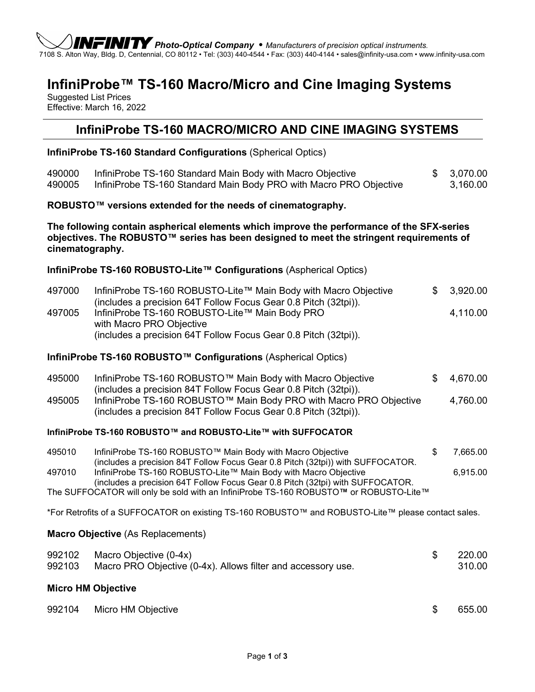*Photo-Optical Company* • *Manufacturers of precision optical instruments.* 7108 S. Alton Way, Bldg. D, Centennial, CO 80112 • Tel: (303) 440-4544 • Fax: (303) 440-4144 • sales@infinity-usa.com • www.infinity-usa.com

## **InfiniProbe™ TS-160 Macro/Micro and Cine Imaging Systems**

Suggested List Prices Effective: March 16, 2022

## **InfiniProbe TS-160 MACRO/MICRO AND CINE IMAGING SYSTEMS**

**InfiniProbe TS-160 Standard Configurations** (Spherical Optics)

| 490000<br>490005                                                                                                                                                                                        | InfiniProbe TS-160 Standard Main Body with Macro Objective<br>InfiniProbe TS-160 Standard Main Body PRO with Macro PRO Objective                  | \$ | 3,070.00<br>3,160.00 |  |  |  |  |
|---------------------------------------------------------------------------------------------------------------------------------------------------------------------------------------------------------|---------------------------------------------------------------------------------------------------------------------------------------------------|----|----------------------|--|--|--|--|
| ROBUSTO™ versions extended for the needs of cinematography.                                                                                                                                             |                                                                                                                                                   |    |                      |  |  |  |  |
| The following contain aspherical elements which improve the performance of the SFX-series<br>objectives. The ROBUSTO™ series has been designed to meet the stringent requirements of<br>cinematography. |                                                                                                                                                   |    |                      |  |  |  |  |
|                                                                                                                                                                                                         | InfiniProbe TS-160 ROBUSTO-Lite™ Configurations (Aspherical Optics)                                                                               |    |                      |  |  |  |  |
| 497000                                                                                                                                                                                                  | InfiniProbe TS-160 ROBUSTO-Lite™ Main Body with Macro Objective<br>(includes a precision 64T Follow Focus Gear 0.8 Pitch (32tpi)).                | \$ | 3,920.00             |  |  |  |  |
| 497005                                                                                                                                                                                                  | InfiniProbe TS-160 ROBUSTO-Lite™ Main Body PRO<br>with Macro PRO Objective<br>(includes a precision 64T Follow Focus Gear 0.8 Pitch (32tpi)).     |    | 4,110.00             |  |  |  |  |
| InfiniProbe TS-160 ROBUSTO™ Configurations (Aspherical Optics)                                                                                                                                          |                                                                                                                                                   |    |                      |  |  |  |  |
| 495000                                                                                                                                                                                                  | InfiniProbe TS-160 ROBUSTO™ Main Body with Macro Objective<br>(includes a precision 84T Follow Focus Gear 0.8 Pitch (32tpi)).                     | \$ | 4,670.00             |  |  |  |  |
| 495005                                                                                                                                                                                                  | InfiniProbe TS-160 ROBUSTO™ Main Body PRO with Macro PRO Objective<br>(includes a precision 84T Follow Focus Gear 0.8 Pitch (32tpi)).             |    | 4,760.00             |  |  |  |  |
| InfiniProbe TS-160 ROBUSTO™ and ROBUSTO-Lite™ with SUFFOCATOR                                                                                                                                           |                                                                                                                                                   |    |                      |  |  |  |  |
| 495010                                                                                                                                                                                                  | InfiniProbe TS-160 ROBUSTO™ Main Body with Macro Objective<br>(includes a precision 84T Follow Focus Gear 0.8 Pitch (32tpi)) with SUFFOCATOR.     | \$ | 7,665.00             |  |  |  |  |
| 497010                                                                                                                                                                                                  | InfiniProbe TS-160 ROBUSTO-Lite™ Main Body with Macro Objective<br>(includes a precision 64T Follow Focus Gear 0.8 Pitch (32tpi) with SUFFOCATOR. |    | 6,915.00             |  |  |  |  |
| The SUFFOCATOR will only be sold with an InfiniProbe TS-160 ROBUSTO™ or ROBUSTO-Lite™<br>*For Retrofits of a SUFFOCATOR on existing TS-160 ROBUSTO™ and ROBUSTO-Lite™ please contact sales.             |                                                                                                                                                   |    |                      |  |  |  |  |
| Macro Objective (As Replacements)                                                                                                                                                                       |                                                                                                                                                   |    |                      |  |  |  |  |
| 992102<br>992103                                                                                                                                                                                        | Macro Objective (0-4x)<br>Macro PRO Objective (0-4x). Allows filter and accessory use.                                                            | \$ | 220.00<br>310.00     |  |  |  |  |
| <b>Micro HM Objective</b>                                                                                                                                                                               |                                                                                                                                                   |    |                      |  |  |  |  |
| 992104                                                                                                                                                                                                  | Micro HM Objective                                                                                                                                | \$ | 655.00               |  |  |  |  |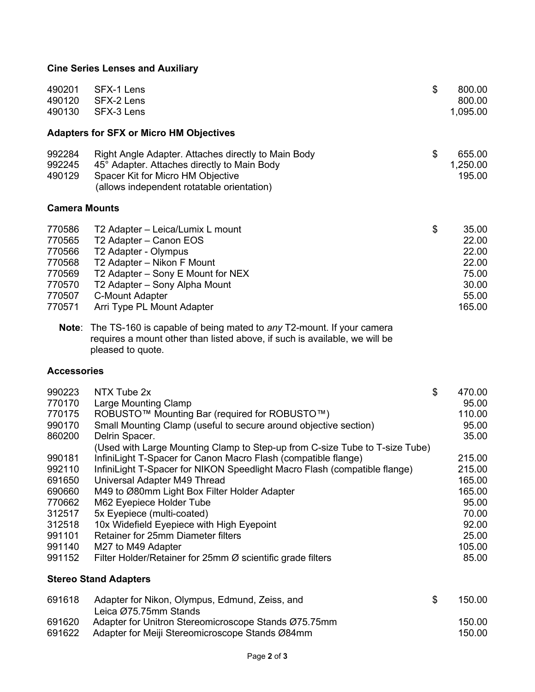## **Cine Series Lenses and Auxiliary**

| 490201<br>490120<br>490130                                                   | SFX-1 Lens<br>SFX-2 Lens<br>SFX-3 Lens                                                                                                                                                                                                  | \$ | 800.00<br>800.00<br>1,095.00                                          |  |  |  |
|------------------------------------------------------------------------------|-----------------------------------------------------------------------------------------------------------------------------------------------------------------------------------------------------------------------------------------|----|-----------------------------------------------------------------------|--|--|--|
| <b>Adapters for SFX or Micro HM Objectives</b>                               |                                                                                                                                                                                                                                         |    |                                                                       |  |  |  |
| 992284<br>992245<br>490129                                                   | Right Angle Adapter. Attaches directly to Main Body<br>45° Adapter. Attaches directly to Main Body<br>Spacer Kit for Micro HM Objective<br>(allows independent rotatable orientation)                                                   | \$ | 655.00<br>1,250.00<br>195.00                                          |  |  |  |
| <b>Camera Mounts</b>                                                         |                                                                                                                                                                                                                                         |    |                                                                       |  |  |  |
| 770586<br>770565<br>770566<br>770568<br>770569<br>770570<br>770507<br>770571 | T2 Adapter – Leica/Lumix L mount<br>T2 Adapter - Canon EOS<br>T2 Adapter - Olympus<br>T2 Adapter – Nikon F Mount<br>T2 Adapter – Sony E Mount for NEX<br>T2 Adapter - Sony Alpha Mount<br>C-Mount Adapter<br>Arri Type PL Mount Adapter | \$ | 35.00<br>22.00<br>22.00<br>22.00<br>75.00<br>30.00<br>55.00<br>165.00 |  |  |  |
| Note:                                                                        | The TS-160 is canable of being mated to any T2-mount If your camera                                                                                                                                                                     |    |                                                                       |  |  |  |

**Note**: The TS-160 is capable of being mated to *any* T2-mount. If your camera requires a mount other than listed above, if such is available, we will be pleased to quote.

## **Accessories**

| 990223                       | NTX Tube 2x                                                                                                                                                                                                                                                                                                     | \$ | 470.00      |  |  |
|------------------------------|-----------------------------------------------------------------------------------------------------------------------------------------------------------------------------------------------------------------------------------------------------------------------------------------------------------------|----|-------------|--|--|
| 770170                       | Large Mounting Clamp                                                                                                                                                                                                                                                                                            |    | 95.00       |  |  |
| 770175                       | ROBUSTO™ Mounting Bar (required for ROBUSTO™)                                                                                                                                                                                                                                                                   |    | 110.00      |  |  |
| 990170                       | Small Mounting Clamp (useful to secure around objective section)                                                                                                                                                                                                                                                |    | 95.00       |  |  |
| 860200                       | Delrin Spacer.                                                                                                                                                                                                                                                                                                  |    | 35.00       |  |  |
|                              | (Used with Large Mounting Clamp to Step-up from C-size Tube to T-size Tube)                                                                                                                                                                                                                                     |    |             |  |  |
| 990181                       | InfiniLight T-Spacer for Canon Macro Flash (compatible flange)                                                                                                                                                                                                                                                  |    | 215.00      |  |  |
| 992110                       | InfiniLight T-Spacer for NIKON Speedlight Macro Flash (compatible flange)                                                                                                                                                                                                                                       |    | 215.00      |  |  |
| 691650                       | Universal Adapter M49 Thread                                                                                                                                                                                                                                                                                    |    | 165.00      |  |  |
| 690660                       | M49 to Ø80mm Light Box Filter Holder Adapter                                                                                                                                                                                                                                                                    |    | 165.00      |  |  |
| 770662                       | M62 Eyepiece Holder Tube                                                                                                                                                                                                                                                                                        |    | 95.00       |  |  |
| 312517                       | 5x Eyepiece (multi-coated)                                                                                                                                                                                                                                                                                      |    | 70.00       |  |  |
| 312518                       | 10x Widefield Eyepiece with High Eyepoint                                                                                                                                                                                                                                                                       |    | 92.00       |  |  |
| 991101                       | <b>Retainer for 25mm Diameter filters</b>                                                                                                                                                                                                                                                                       |    | 25.00       |  |  |
| 991140                       | M27 to M49 Adapter                                                                                                                                                                                                                                                                                              |    | 105.00      |  |  |
| 991152                       | Filter Holder/Retainer for 25mm $\varnothing$ scientific grade filters                                                                                                                                                                                                                                          |    | 85.00       |  |  |
| <b>Stereo Stand Adapters</b> |                                                                                                                                                                                                                                                                                                                 |    |             |  |  |
| 691618                       | Adapter for Nikon, Olympus, Edmund, Zeiss, and<br>Leica Ø75.75mm Stands                                                                                                                                                                                                                                         | \$ | 150.00      |  |  |
| 691620                       | Adapter for Unitron Stereomicroscope Stands Ø75.75mm                                                                                                                                                                                                                                                            |    | 150.00      |  |  |
| 001000                       | $\begin{array}{ccc} \begin{array}{ccc} \bullet & \bullet & \bullet & \bullet & \bullet & \bullet \end{array} & \begin{array}{ccc} \bullet & \bullet & \bullet & \bullet & \bullet & \bullet \end{array} & \begin{array}{ccc} \bullet & \bullet & \bullet & \bullet & \bullet & \bullet \end{array} \end{array}$ |    | $1 - 0 - 0$ |  |  |

691622 Adapter for Meiji Stereomicroscope Stands Ø84mm 150.00